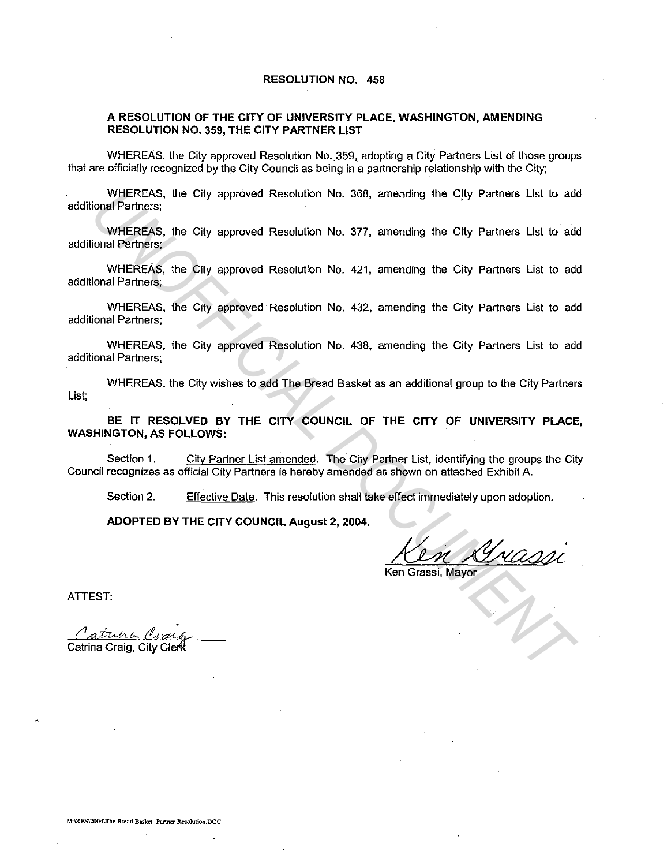## **RESOLUTION NO. 458**

## **A RESOLUTION OF THE CITY OF UNIVERSITY PLACE, WASHINGTON, AMENDING RESOLUTION NO. 359, THE CITY PARTNER LIST**

WHEREAS, the City approved Resolution No. 359, adopting a City Partners List of those groups that are officially recognized by the City Council as being in a partnership relationship with the City;

WHEREAS, the City approved Resolution No. 368, amending the City Partners List to add additional Partners;

WHEREAS, the City approved Resolution No. 377, amending the City Partners List to add additional Partners;

WHEREAS, the City approved Resolution No. 421, amending the City Partners List to add additional Partners;

WHEREAS, the City approved Resolution No. 432, amending the City Partners List to add additional Partners;

WHEREAS, the City approved Resolution No. 438, amending the City Partners List to add additional Partners;

WHEREAS, the City wishes to add The Bread Basket as an additional group to the City Partners List;

**BE IT RESOLVED BY THE CITY COUNCIL OF THE CITY OF UNIVERSITY PLACE, WASHINGTON, AS FOLLOWS:**  WHEREAS, the City approved Resolution No. 368, amending the City Partners List to add<br>ional Partners;<br>WHEREAS, the City approved Resolution No. 377, amending the City Partners List to add<br>ional Partners;<br>WHEREAS, the City

Section 1. City Partner List amended. The City Partner List, identifying the groups the City Council recognizes as official City Partners is hereby amended as shown on attached Exhibit A.

Section 2. Effective Date. This resolution shall take effect immediately upon adoption.

**ADOPTED BY THE CITY COUNCIL August 2, 2004.** 

~~· Grassi, Mayor

Ken Grassi, Mayor

ATTEST:

Catrina Craig, City Cler<sup>4</sup>